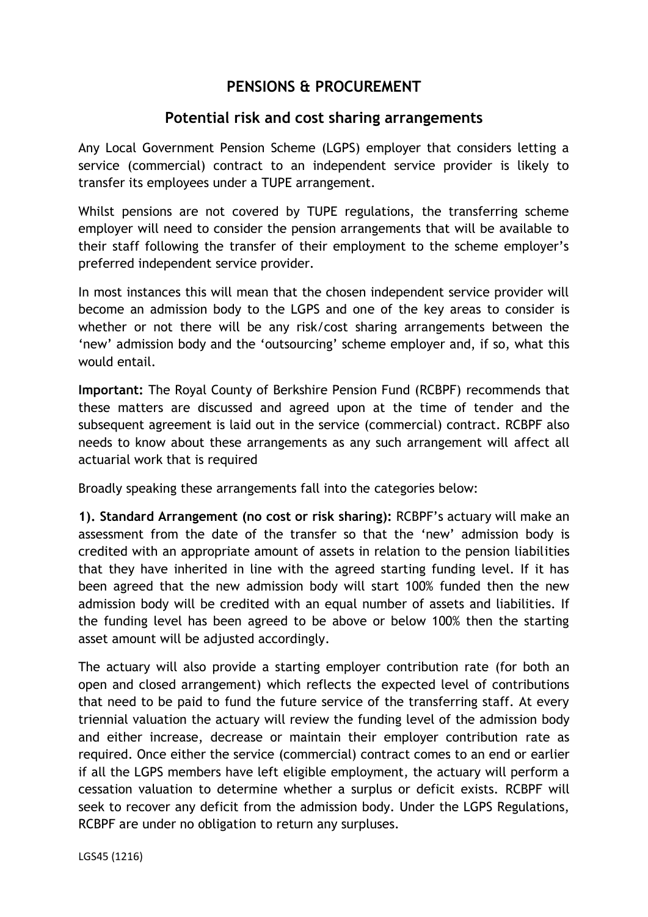## **PENSIONS & PROCUREMENT**

## **Potential risk and cost sharing arrangements**

Any Local Government Pension Scheme (LGPS) employer that considers letting a service (commercial) contract to an independent service provider is likely to transfer its employees under a TUPE arrangement.

Whilst pensions are not covered by TUPE regulations, the transferring scheme employer will need to consider the pension arrangements that will be available to their staff following the transfer of their employment to the scheme employer's preferred independent service provider.

In most instances this will mean that the chosen independent service provider will become an admission body to the LGPS and one of the key areas to consider is whether or not there will be any risk/cost sharing arrangements between the 'new' admission body and the 'outsourcing' scheme employer and, if so, what this would entail.

**Important:** The Royal County of Berkshire Pension Fund (RCBPF) recommends that these matters are discussed and agreed upon at the time of tender and the subsequent agreement is laid out in the service (commercial) contract. RCBPF also needs to know about these arrangements as any such arrangement will affect all actuarial work that is required

Broadly speaking these arrangements fall into the categories below:

**1). Standard Arrangement (no cost or risk sharing):** RCBPF's actuary will make an assessment from the date of the transfer so that the 'new' admission body is credited with an appropriate amount of assets in relation to the pension liabilities that they have inherited in line with the agreed starting funding level. If it has been agreed that the new admission body will start 100% funded then the new admission body will be credited with an equal number of assets and liabilities. If the funding level has been agreed to be above or below 100% then the starting asset amount will be adjusted accordingly.

The actuary will also provide a starting employer contribution rate (for both an open and closed arrangement) which reflects the expected level of contributions that need to be paid to fund the future service of the transferring staff. At every triennial valuation the actuary will review the funding level of the admission body and either increase, decrease or maintain their employer contribution rate as required. Once either the service (commercial) contract comes to an end or earlier if all the LGPS members have left eligible employment, the actuary will perform a cessation valuation to determine whether a surplus or deficit exists. RCBPF will seek to recover any deficit from the admission body. Under the LGPS Regulations, RCBPF are under no obligation to return any surpluses.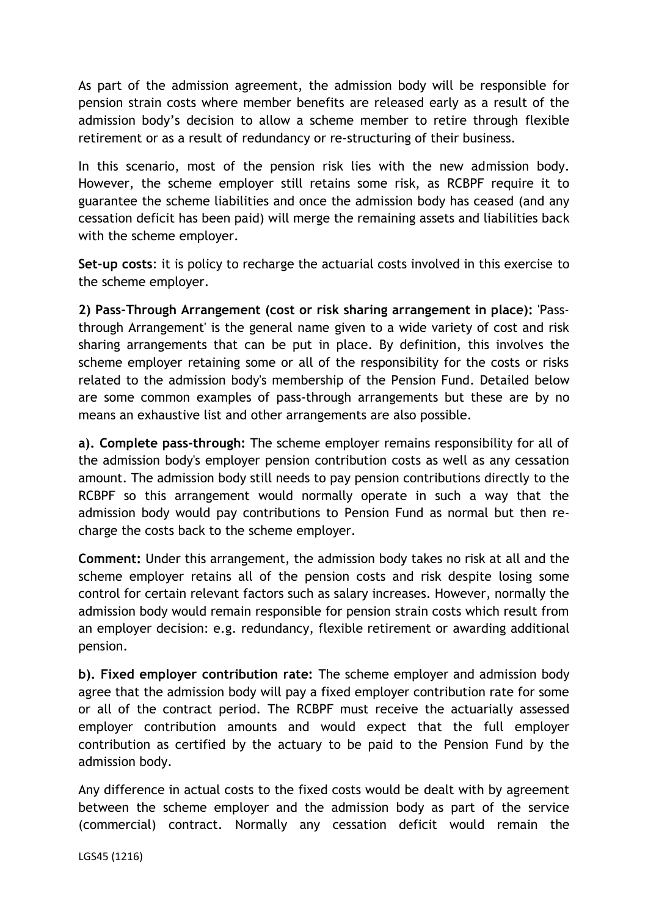As part of the admission agreement, the admission body will be responsible for pension strain costs where member benefits are released early as a result of the admission body's decision to allow a scheme member to retire through flexible retirement or as a result of redundancy or re-structuring of their business.

In this scenario, most of the pension risk lies with the new admission body. However, the scheme employer still retains some risk, as RCBPF require it to guarantee the scheme liabilities and once the admission body has ceased (and any cessation deficit has been paid) will merge the remaining assets and liabilities back with the scheme employer.

**Set-up costs**: it is policy to recharge the actuarial costs involved in this exercise to the scheme employer.

**2) Pass-Through Arrangement (cost or risk sharing arrangement in place):** 'Passthrough Arrangement' is the general name given to a wide variety of cost and risk sharing arrangements that can be put in place. By definition, this involves the scheme employer retaining some or all of the responsibility for the costs or risks related to the admission body's membership of the Pension Fund. Detailed below are some common examples of pass-through arrangements but these are by no means an exhaustive list and other arrangements are also possible.

**a). Complete pass-through:** The scheme employer remains responsibility for all of the admission body's employer pension contribution costs as well as any cessation amount. The admission body still needs to pay pension contributions directly to the RCBPF so this arrangement would normally operate in such a way that the admission body would pay contributions to Pension Fund as normal but then recharge the costs back to the scheme employer.

**Comment:** Under this arrangement, the admission body takes no risk at all and the scheme employer retains all of the pension costs and risk despite losing some control for certain relevant factors such as salary increases. However, normally the admission body would remain responsible for pension strain costs which result from an employer decision: e.g. redundancy, flexible retirement or awarding additional pension.

**b). Fixed employer contribution rate:** The scheme employer and admission body agree that the admission body will pay a fixed employer contribution rate for some or all of the contract period. The RCBPF must receive the actuarially assessed employer contribution amounts and would expect that the full employer contribution as certified by the actuary to be paid to the Pension Fund by the admission body.

Any difference in actual costs to the fixed costs would be dealt with by agreement between the scheme employer and the admission body as part of the service (commercial) contract. Normally any cessation deficit would remain the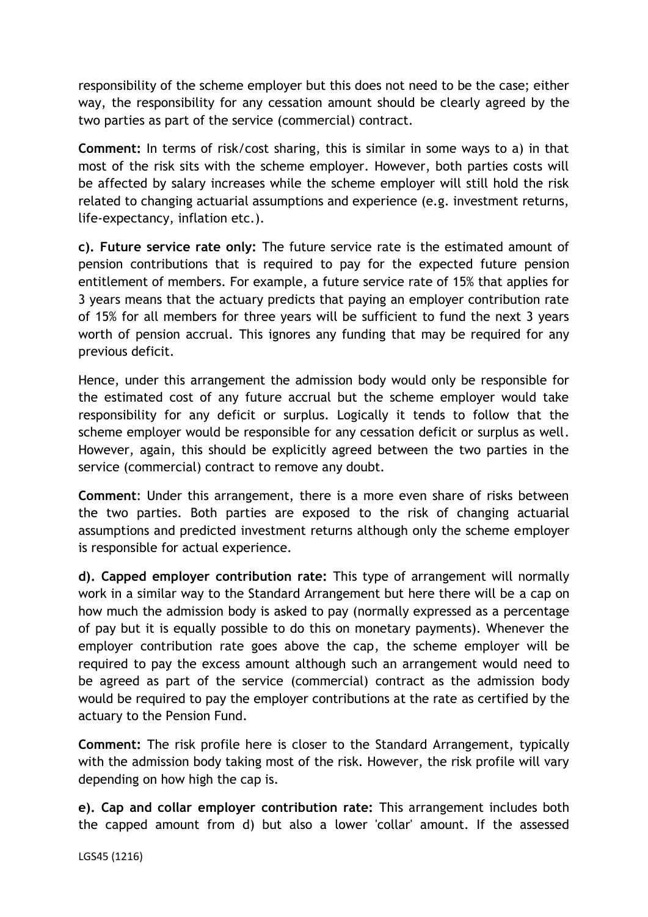responsibility of the scheme employer but this does not need to be the case; either way, the responsibility for any cessation amount should be clearly agreed by the two parties as part of the service (commercial) contract.

**Comment:** In terms of risk/cost sharing, this is similar in some ways to a) in that most of the risk sits with the scheme employer. However, both parties costs will be affected by salary increases while the scheme employer will still hold the risk related to changing actuarial assumptions and experience (e.g. investment returns, life-expectancy, inflation etc.).

**c). Future service rate only:** The future service rate is the estimated amount of pension contributions that is required to pay for the expected future pension entitlement of members. For example, a future service rate of 15% that applies for 3 years means that the actuary predicts that paying an employer contribution rate of 15% for all members for three years will be sufficient to fund the next 3 years worth of pension accrual. This ignores any funding that may be required for any previous deficit.

Hence, under this arrangement the admission body would only be responsible for the estimated cost of any future accrual but the scheme employer would take responsibility for any deficit or surplus. Logically it tends to follow that the scheme employer would be responsible for any cessation deficit or surplus as well. However, again, this should be explicitly agreed between the two parties in the service (commercial) contract to remove any doubt.

**Comment**: Under this arrangement, there is a more even share of risks between the two parties. Both parties are exposed to the risk of changing actuarial assumptions and predicted investment returns although only the scheme employer is responsible for actual experience.

**d). Capped employer contribution rate:** This type of arrangement will normally work in a similar way to the Standard Arrangement but here there will be a cap on how much the admission body is asked to pay (normally expressed as a percentage of pay but it is equally possible to do this on monetary payments). Whenever the employer contribution rate goes above the cap, the scheme employer will be required to pay the excess amount although such an arrangement would need to be agreed as part of the service (commercial) contract as the admission body would be required to pay the employer contributions at the rate as certified by the actuary to the Pension Fund.

**Comment:** The risk profile here is closer to the Standard Arrangement, typically with the admission body taking most of the risk. However, the risk profile will vary depending on how high the cap is.

**e). Cap and collar employer contribution rate:** This arrangement includes both the capped amount from d) but also a lower 'collar' amount. If the assessed